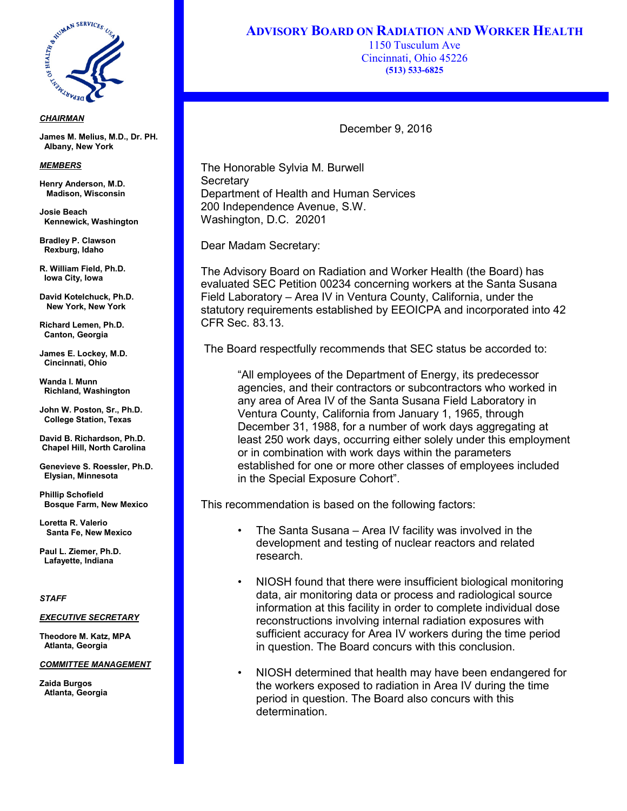

### *CHAIRMAN*

**James M. Melius, M.D., Dr. PH. Albany, New York**

#### *MEMBERS*

Enc.  **Madison, Wisconsin Henry Anderson, M.D.**

**Josie Beach Kennewick, Washington** 

**Bradley P. Clawson Rexburg, Idaho**

**R. William Field, Ph.D. Iowa City, Iowa**

**David Kotelchuck, Ph.D. New York, New York**

**Richard Lemen, Ph.D. Canton, Georgia**

**James E. Lockey, M.D. Cincinnati, Ohio**

**Wanda I. Munn Richland, Washington**

**John W. Poston, Sr., Ph.D. College Station, Texas** 

**David B. Richardson, Ph.D. Chapel Hill, North Carolina**

**Genevieve S. Roessler, Ph.D. Elysian, Minnesota**

**Phillip Schofield Bosque Farm, New Mexico**

**Loretta R. Valerio Santa Fe, New Mexico**

**Paul L. Ziemer, Ph.D. Lafayette, Indiana**

# *STAFF*

### *EXECUTIVE SECRETARY*

**Theodore M. Katz, MPA Atlanta, Georgia**

## *COMMITTEE MANAGEMENT*

**Zaida Burgos Atlanta, Georgia** **ADVISORY BOARD ON RADIATION AND WORKER HEALTH**

1150 Tusculum Ave Cincinnati, Ohio 45226 **(513) 533-6825**

December 9, 2016

The Honorable Sylvia M. Burwell **Secretary** Department of Health and Human Services 200 Independence Avenue, S.W. Washington, D.C. 20201

Dear Madam Secretary:

The Advisory Board on Radiation and Worker Health (the Board) has evaluated SEC Petition 00234 concerning workers at the Santa Susana Field Laboratory – Area IV in Ventura County, California, under the statutory requirements established by EEOICPA and incorporated into 42 CFR Sec. 83.13.

The Board respectfully recommends that SEC status be accorded to:

"All employees of the Department of Energy, its predecessor agencies, and their contractors or subcontractors who worked in any area of Area IV of the Santa Susana Field Laboratory in Ventura County, California from January 1, 1965, through December 31, 1988, for a number of work days aggregating at least 250 work days, occurring either solely under this employment or in combination with work days within the parameters established for one or more other classes of employees included in the Special Exposure Cohort".

This recommendation is based on the following factors:

- The Santa Susana Area IV facility was involved in the development and testing of nuclear reactors and related research.
- NIOSH found that there were insufficient biological monitoring data, air monitoring data or process and radiological source information at this facility in order to complete individual dose reconstructions involving internal radiation exposures with sufficient accuracy for Area IV workers during the time period in question. The Board concurs with this conclusion.
- NIOSH determined that health may have been endangered for the workers exposed to radiation in Area IV during the time period in question. The Board also concurs with this determination.